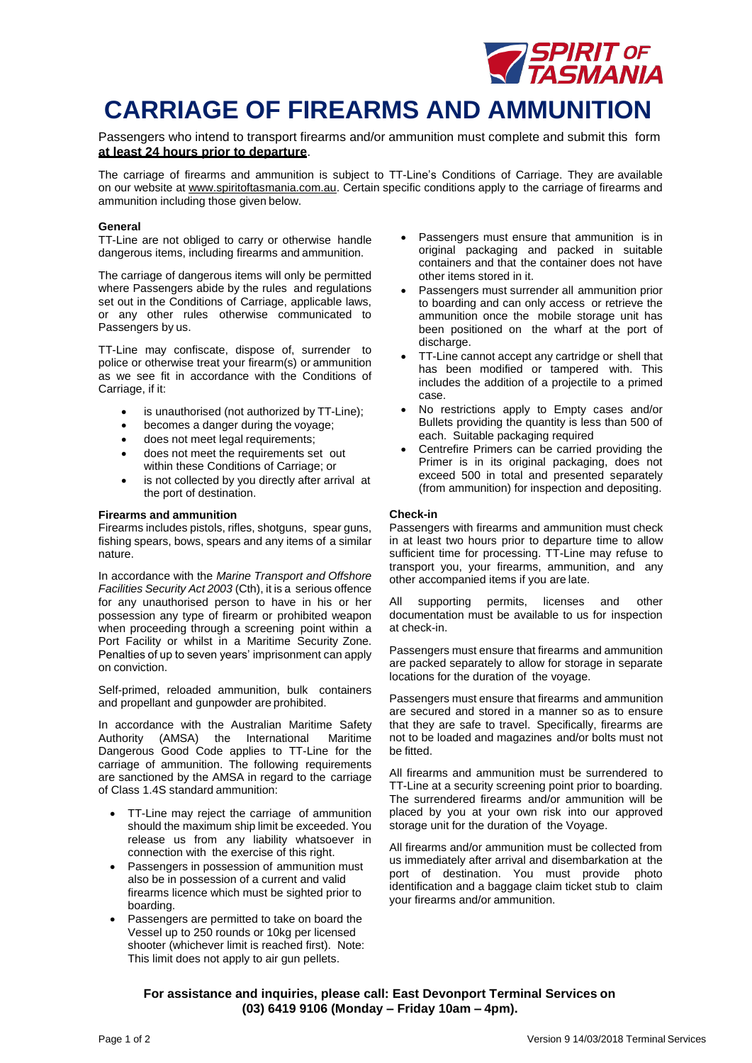

## **CARRIAGE OF FIREARMS AND AMMUNITION**

Passengers who intend to transport firearms and/or ammunition must complete and submit this form **at least 24 hours prior to departure**.

The carriage of firearms and ammunition is subject to TT-Line's Conditions of Carriage. They are available on our website at [www.spiritoftasmania.com.au.](http://www.spiritoftasmania.com.au/) Certain specific conditions apply to the carriage of firearms and ammunition including those given below.

#### **General**

TT-Line are not obliged to carry or otherwise handle dangerous items, including firearms and ammunition.

The carriage of dangerous items will only be permitted where Passengers abide by the rules and regulations set out in the Conditions of Carriage, applicable laws, or any other rules otherwise communicated to Passengers by us.

TT-Line may confiscate, dispose of, surrender to police or otherwise treat your firearm(s) or ammunition as we see fit in accordance with the Conditions of Carriage, if it:

- is unauthorised (not authorized by TT-Line);
- becomes a danger during the voyage;
- does not meet legal requirements;
- does not meet the requirements set out within these Conditions of Carriage; or
- is not collected by you directly after arrival at the port of destination.

#### **Firearms and ammunition**

Firearms includes pistols, rifles, shotguns, spear guns, fishing spears, bows, spears and any items of a similar nature.

In accordance with the *Marine Transport and Offshore Facilities Security Act 2003* (Cth), it is a serious offence for any unauthorised person to have in his or her possession any type of firearm or prohibited weapon when proceeding through a screening point within a Port Facility or whilst in a Maritime Security Zone. Penalties of up to seven years' imprisonment can apply on conviction.

Self-primed, reloaded ammunition, bulk containers and propellant and gunpowder are prohibited.

In accordance with the Australian Maritime Safety Authority (AMSA) the International Maritime Dangerous Good Code applies to TT-Line for the carriage of ammunition. The following requirements are sanctioned by the AMSA in regard to the carriage of Class 1.4S standard ammunition:

- TT-Line may reject the carriage of ammunition should the maximum ship limit be exceeded. You release us from any liability whatsoever in connection with the exercise of this right.
- Passengers in possession of ammunition must also be in possession of a current and valid firearms licence which must be sighted prior to boarding.
- Passengers are permitted to take on board the Vessel up to 250 rounds or 10kg per licensed shooter (whichever limit is reached first). Note: This limit does not apply to air gun pellets.
- Passengers must ensure that ammunition is in original packaging and packed in suitable containers and that the container does not have other items stored in it.
- Passengers must surrender all ammunition prior to boarding and can only access or retrieve the ammunition once the mobile storage unit has been positioned on the wharf at the port of discharge.
- TT-Line cannot accept any cartridge or shell that has been modified or tampered with. This includes the addition of a projectile to a primed case.
- No restrictions apply to Empty cases and/or Bullets providing the quantity is less than 500 of each. Suitable packaging required
- Centrefire Primers can be carried providing the Primer is in its original packaging, does not exceed 500 in total and presented separately (from ammunition) for inspection and depositing.

#### **Check-in**

Passengers with firearms and ammunition must check in at least two hours prior to departure time to allow sufficient time for processing. TT-Line may refuse to transport you, your firearms, ammunition, and any other accompanied items if you are late.

All supporting permits, licenses and other documentation must be available to us for inspection at check-in.

Passengers must ensure that firearms and ammunition are packed separately to allow for storage in separate locations for the duration of the voyage.

Passengers must ensure that firearms and ammunition are secured and stored in a manner so as to ensure that they are safe to travel. Specifically, firearms are not to be loaded and magazines and/or bolts must not be fitted.

All firearms and ammunition must be surrendered to TT-Line at a security screening point prior to boarding. The surrendered firearms and/or ammunition will be placed by you at your own risk into our approved storage unit for the duration of the Voyage.

All firearms and/or ammunition must be collected from us immediately after arrival and disembarkation at the port of destination. You must provide photo identification and a baggage claim ticket stub to claim your firearms and/or ammunition.

**For assistance and inquiries, please call: East Devonport Terminal Services on (03) 6419 9106 (Monday – Friday 10am – 4pm).**